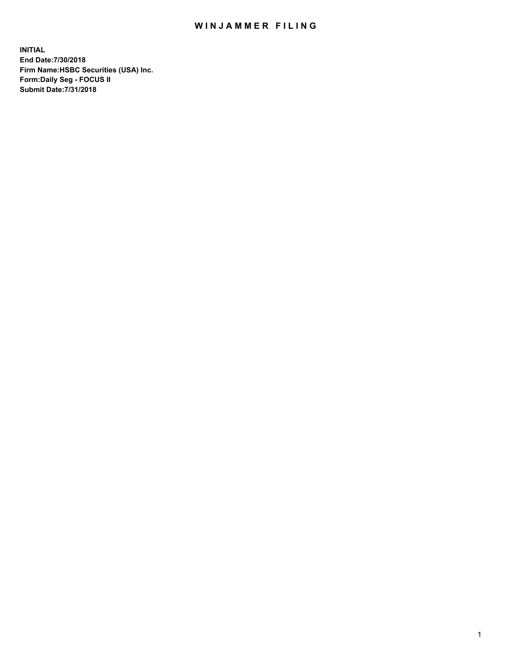## WIN JAMMER FILING

**INITIAL End Date:7/30/2018 Firm Name:HSBC Securities (USA) Inc. Form:Daily Seg - FOCUS II Submit Date:7/31/2018**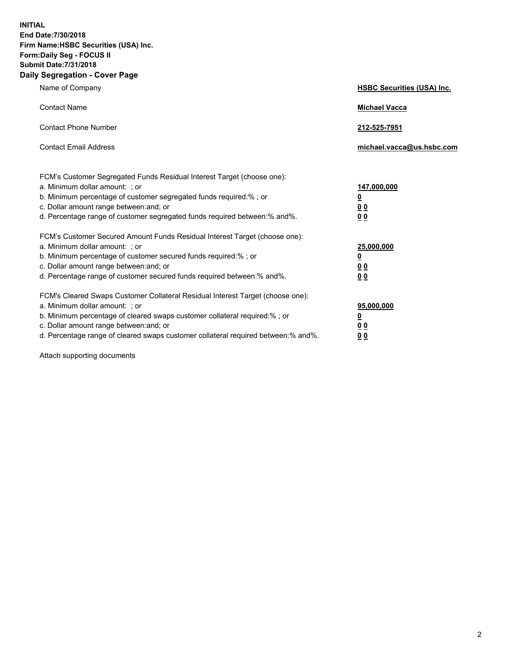**INITIAL End Date:7/30/2018 Firm Name:HSBC Securities (USA) Inc. Form:Daily Seg - FOCUS II Submit Date:7/31/2018 Daily Segregation - Cover Page**

| Name of Company                                                                                                                                                                                                                                                                                                                | <b>HSBC Securities (USA) Inc.</b>                                          |
|--------------------------------------------------------------------------------------------------------------------------------------------------------------------------------------------------------------------------------------------------------------------------------------------------------------------------------|----------------------------------------------------------------------------|
| <b>Contact Name</b>                                                                                                                                                                                                                                                                                                            | <b>Michael Vacca</b>                                                       |
| <b>Contact Phone Number</b>                                                                                                                                                                                                                                                                                                    | 212-525-7951                                                               |
| <b>Contact Email Address</b>                                                                                                                                                                                                                                                                                                   | michael.vacca@us.hsbc.com                                                  |
| FCM's Customer Segregated Funds Residual Interest Target (choose one):<br>a. Minimum dollar amount: : or<br>b. Minimum percentage of customer segregated funds required:% ; or<br>c. Dollar amount range between: and; or<br>d. Percentage range of customer segregated funds required between:% and%.                         | 147,000,000<br>$\overline{\mathbf{0}}$<br>0 <sub>0</sub><br>0 <sub>0</sub> |
| FCM's Customer Secured Amount Funds Residual Interest Target (choose one):<br>a. Minimum dollar amount: ; or<br>b. Minimum percentage of customer secured funds required:%; or<br>c. Dollar amount range between: and; or<br>d. Percentage range of customer secured funds required between:% and%.                            | 25,000,000<br><u>0</u><br>0 <sub>0</sub><br>00                             |
| FCM's Cleared Swaps Customer Collateral Residual Interest Target (choose one):<br>a. Minimum dollar amount: ; or<br>b. Minimum percentage of cleared swaps customer collateral required:% ; or<br>c. Dollar amount range between: and; or<br>d. Percentage range of cleared swaps customer collateral required between:% and%. | 95,000,000<br><u>0</u><br>00<br>0 <sub>0</sub>                             |

Attach supporting documents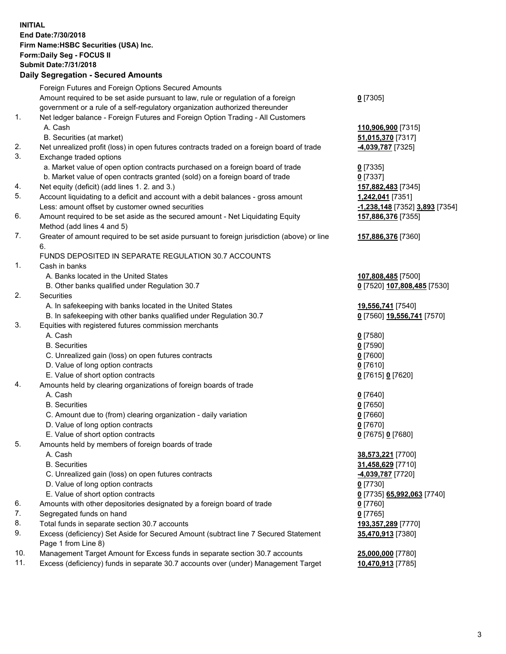**INITIAL End Date:7/30/2018 Firm Name:HSBC Securities (USA) Inc. Form:Daily Seg - FOCUS II Submit Date:7/31/2018 Daily Segregation - Secured Amounts** Foreign Futures and Foreign Options Secured Amounts Amount required to be set aside pursuant to law, rule or regulation of a foreign government or a rule of a self-regulatory organization authorized thereunder

## 1. Net ledger balance - Foreign Futures and Foreign Option Trading - All Customers A. Cash **110,906,900** [7315]

- B. Securities (at market) **51,015,370** [7317]
- 2. Net unrealized profit (loss) in open futures contracts traded on a foreign board of trade **-4,039,787** [7325]
- 3. Exchange traded options
	- a. Market value of open option contracts purchased on a foreign board of trade **0** [7335]
	- b. Market value of open contracts granted (sold) on a foreign board of trade **0** [7337]
- 4. Net equity (deficit) (add lines 1. 2. and 3.) **157,882,483** [7345]
- 5. Account liquidating to a deficit and account with a debit balances gross amount **1,242,041** [7351] Less: amount offset by customer owned securities **-1,238,148** [7352] **3,893** [7354]
- 6. Amount required to be set aside as the secured amount Net Liquidating Equity Method (add lines 4 and 5)
- 7. Greater of amount required to be set aside pursuant to foreign jurisdiction (above) or line 6.

## FUNDS DEPOSITED IN SEPARATE REGULATION 30.7 ACCOUNTS

- 1. Cash in banks
	- A. Banks located in the United States **107,808,485** [7500]
	- B. Other banks qualified under Regulation 30.7 **0** [7520] **107,808,485** [7530]
- 2. Securities
	- A. In safekeeping with banks located in the United States **19,556,741** [7540]
	- B. In safekeeping with other banks qualified under Regulation 30.7 **0** [7560] **19,556,741** [7570]
- 3. Equities with registered futures commission merchants
	- A. Cash **0** [7580]
	- B. Securities **0** [7590]
	- C. Unrealized gain (loss) on open futures contracts **0** [7600]
	- D. Value of long option contracts **0** [7610]
	- E. Value of short option contracts **0** [7615] **0** [7620]
- 4. Amounts held by clearing organizations of foreign boards of trade
	- A. Cash **0** [7640]
	- B. Securities **0** [7650]
	- C. Amount due to (from) clearing organization daily variation **0** [7660]
	- D. Value of long option contracts **0** [7670]
	- E. Value of short option contracts **0** [7675] **0** [7680]
- 5. Amounts held by members of foreign boards of trade
	-
	-
	- C. Unrealized gain (loss) on open futures contracts **-4,039,787** [7720]
	- D. Value of long option contracts **0** [7730]
	- E. Value of short option contracts **0** [7735] **65,992,063** [7740]
- 6. Amounts with other depositories designated by a foreign board of trade **0** [7760]
- 7. Segregated funds on hand **0** [7765]
- 8. Total funds in separate section 30.7 accounts **193,357,289** [7770]
- 9. Excess (deficiency) Set Aside for Secured Amount (subtract line 7 Secured Statement Page 1 from Line 8)
- 10. Management Target Amount for Excess funds in separate section 30.7 accounts **25,000,000** [7780]
- 11. Excess (deficiency) funds in separate 30.7 accounts over (under) Management Target **10,470,913** [7785]

**157,886,376** [7355]

**157,886,376** [7360]

 A. Cash **38,573,221** [7700] B. Securities **31,458,629** [7710] **35,470,913** [7380]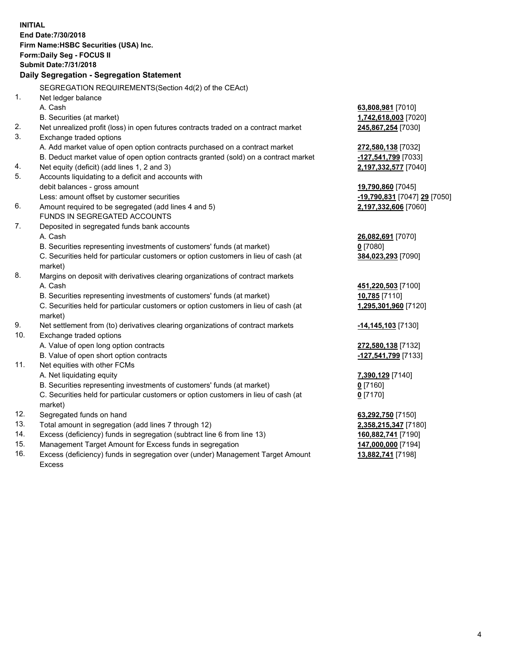**INITIAL End Date:7/30/2018 Firm Name:HSBC Securities (USA) Inc. Form:Daily Seg - FOCUS II Submit Date:7/31/2018 Daily Segregation - Segregation Statement** SEGREGATION REQUIREMENTS(Section 4d(2) of the CEAct) 1. Net ledger balance A. Cash **63,808,981** [7010] B. Securities (at market) **1,742,618,003** [7020] 2. Net unrealized profit (loss) in open futures contracts traded on a contract market **245,867,254** [7030] 3. Exchange traded options A. Add market value of open option contracts purchased on a contract market **272,580,138** [7032] B. Deduct market value of open option contracts granted (sold) on a contract market **-127,541,799** [7033] 4. Net equity (deficit) (add lines 1, 2 and 3) **2,197,332,577** [7040] 5. Accounts liquidating to a deficit and accounts with debit balances - gross amount **19,790,860** [7045] Less: amount offset by customer securities **-19,790,831** [7047] **29** [7050] 6. Amount required to be segregated (add lines 4 and 5) **2,197,332,606** [7060] FUNDS IN SEGREGATED ACCOUNTS 7. Deposited in segregated funds bank accounts A. Cash **26,082,691** [7070] B. Securities representing investments of customers' funds (at market) **0** [7080] C. Securities held for particular customers or option customers in lieu of cash (at market) **384,023,293** [7090] 8. Margins on deposit with derivatives clearing organizations of contract markets A. Cash **451,220,503** [7100] B. Securities representing investments of customers' funds (at market) **10,785** [7110] C. Securities held for particular customers or option customers in lieu of cash (at market) **1,295,301,960** [7120] 9. Net settlement from (to) derivatives clearing organizations of contract markets **-14,145,103** [7130] 10. Exchange traded options A. Value of open long option contracts **272,580,138** [7132] B. Value of open short option contracts **-127,541,799** [7133] 11. Net equities with other FCMs A. Net liquidating equity **7,390,129** [7140] B. Securities representing investments of customers' funds (at market) **0** [7160] C. Securities held for particular customers or option customers in lieu of cash (at market) **0** [7170] 12. Segregated funds on hand **63,292,750** [7150] 13. Total amount in segregation (add lines 7 through 12) **2,358,215,347** [7180] 14. Excess (deficiency) funds in segregation (subtract line 6 from line 13) **160,882,741** [7190] 15. Management Target Amount for Excess funds in segregation **147,000,000** [7194] **13,882,741** [7198]

16. Excess (deficiency) funds in segregation over (under) Management Target Amount Excess